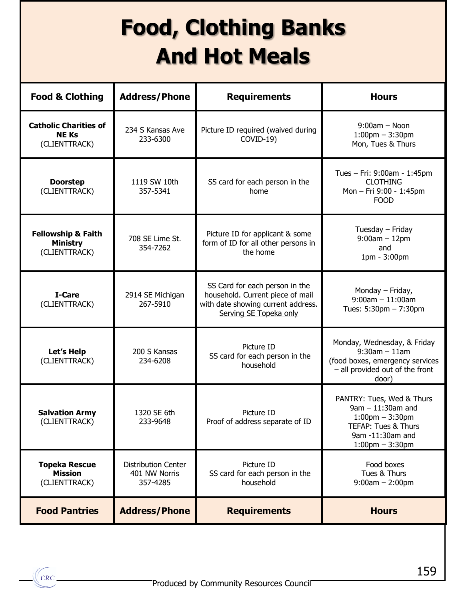## **Food, Clothing Banks And Hot Meals**

| <b>Food &amp; Clothing</b>                                        | <b>Address/Phone</b>                                    | <b>Requirements</b>                                                                                                                | <b>Hours</b>                                                                                                                                           |
|-------------------------------------------------------------------|---------------------------------------------------------|------------------------------------------------------------------------------------------------------------------------------------|--------------------------------------------------------------------------------------------------------------------------------------------------------|
| <b>Catholic Charities of</b><br><b>NEKs</b><br>(CLIENTTRACK)      | 234 S Kansas Ave<br>233-6300                            | Picture ID required (waived during<br>COVID-19)                                                                                    | $9:00am - Noon$<br>$1:00$ pm $-3:30$ pm<br>Mon, Tues & Thurs                                                                                           |
| <b>Doorstep</b><br>(CLIENTTRACK)                                  | 1119 SW 10th<br>357-5341                                | SS card for each person in the<br>home                                                                                             | Tues – Fri: $9:00$ am - 1:45pm<br><b>CLOTHING</b><br>Mon - Fri 9:00 - 1:45pm<br><b>FOOD</b>                                                            |
| <b>Fellowship &amp; Faith</b><br><b>Ministry</b><br>(CLIENTTRACK) | 708 SE Lime St.<br>354-7262                             | Picture ID for applicant & some<br>form of ID for all other persons in<br>the home                                                 | Tuesday - Friday<br>$9:00am - 12pm$<br>and<br>1pm - 3:00pm                                                                                             |
| I-Care<br>(CLIENTTRACK)                                           | 2914 SE Michigan<br>267-5910                            | SS Card for each person in the<br>household. Current piece of mail<br>with date showing current address.<br>Serving SE Topeka only | Monday - Friday,<br>$9:00$ am $-11:00$ am<br>Tues: $5:30$ pm $- 7:30$ pm                                                                               |
| Let's Help<br>(CLIENTTRACK)                                       | 200 S Kansas<br>234-6208                                | Picture ID<br>SS card for each person in the<br>household                                                                          | Monday, Wednesday, & Friday<br>$9:30$ am $-11$ am<br>(food boxes, emergency services<br>- all provided out of the front<br>door)                       |
| <b>Salvation Army</b><br>(CLIENTTRACK)                            | 1320 SE 6th<br>233-9648                                 | Picture ID<br>Proof of address separate of ID                                                                                      | PANTRY: Tues, Wed & Thurs<br>$9am - 11:30am$ and<br>$1:00$ pm $-3:30$ pm<br><b>TEFAP: Tues &amp; Thurs</b><br>9am -11:30am and<br>$1:00$ pm $-3:30$ pm |
| <b>Topeka Rescue</b><br><b>Mission</b><br>(CLIENTTRACK)           | <b>Distribution Center</b><br>401 NW Norris<br>357-4285 | Picture ID<br>SS card for each person in the<br>household                                                                          | Food boxes<br>Tues & Thurs<br>$9:00am - 2:00pm$                                                                                                        |
| <b>Food Pantries</b>                                              | <b>Address/Phone</b>                                    | <b>Requirements</b>                                                                                                                | <b>Hours</b>                                                                                                                                           |

**CRC**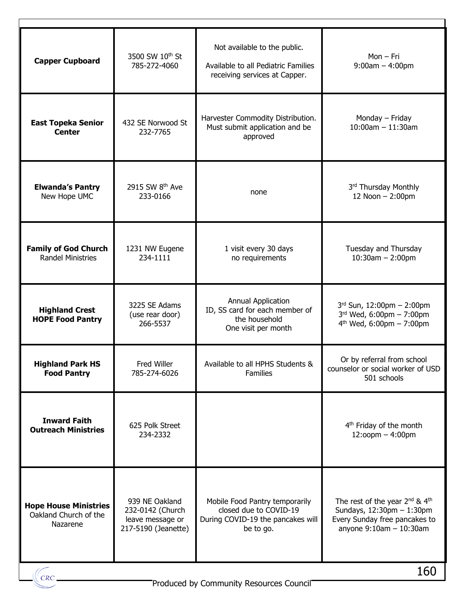| <b>Capper Cupboard</b>                                            | 3500 SW 10 <sup>th</sup> St<br>785-272-4060                                   | Not available to the public.<br>Available to all Pediatric Families<br>receiving services at Capper.       | $Mon-Fri$<br>$9:00am - 4:00pm$                                                                                                                                         |
|-------------------------------------------------------------------|-------------------------------------------------------------------------------|------------------------------------------------------------------------------------------------------------|------------------------------------------------------------------------------------------------------------------------------------------------------------------------|
| <b>East Topeka Senior</b><br><b>Center</b>                        | 432 SE Norwood St<br>232-7765                                                 | Harvester Commodity Distribution.<br>Must submit application and be<br>approved                            | Monday - Friday<br>$10:00$ am $- 11:30$ am                                                                                                                             |
| <b>Elwanda's Pantry</b><br>New Hope UMC                           | 2915 SW 8 <sup>th</sup> Ave<br>233-0166                                       | none                                                                                                       | 3rd Thursday Monthly<br>12 Noon - 2:00pm                                                                                                                               |
| <b>Family of God Church</b><br><b>Randel Ministries</b>           | 1231 NW Eugene<br>234-1111                                                    | 1 visit every 30 days<br>no requirements                                                                   | Tuesday and Thursday<br>$10:30$ am $- 2:00$ pm                                                                                                                         |
| <b>Highland Crest</b><br><b>HOPE Food Pantry</b>                  | 3225 SE Adams<br>(use rear door)<br>266-5537                                  | <b>Annual Application</b><br>ID, SS card for each member of<br>the household<br>One visit per month        | 3rd Sun, 12:00pm - 2:00pm<br>$3rd$ Wed, 6:00pm - 7:00pm<br>$4^{th}$ Wed, 6:00pm - 7:00pm                                                                               |
| <b>Highland Park HS</b><br><b>Food Pantry</b>                     | Fred Willer<br>785-274-6026                                                   | Available to all HPHS Students &<br><b>Families</b>                                                        | Or by referral from school<br>counselor or social worker of USD<br>501 schools                                                                                         |
| <b>Inward Faith</b><br><b>Outreach Ministries</b>                 | 625 Polk Street<br>234-2332                                                   |                                                                                                            | 4 <sup>th</sup> Friday of the month<br>$12:$ oopm $-4:00$ pm                                                                                                           |
| <b>Hope House Ministries</b><br>Oakland Church of the<br>Nazarene | 939 NE Oakland<br>232-0142 (Church<br>leave message or<br>217-5190 (Jeanette) | Mobile Food Pantry temporarily<br>closed due to COVID-19<br>During COVID-19 the pancakes will<br>be to go. | The rest of the year 2 <sup>nd</sup> & 4 <sup>th</sup><br>Sundays, $12:30 \text{pm} - 1:30 \text{pm}$<br>Every Sunday free pancakes to<br>anyone $9:10$ am $-10:30$ am |

 $\sqrt{CRC}$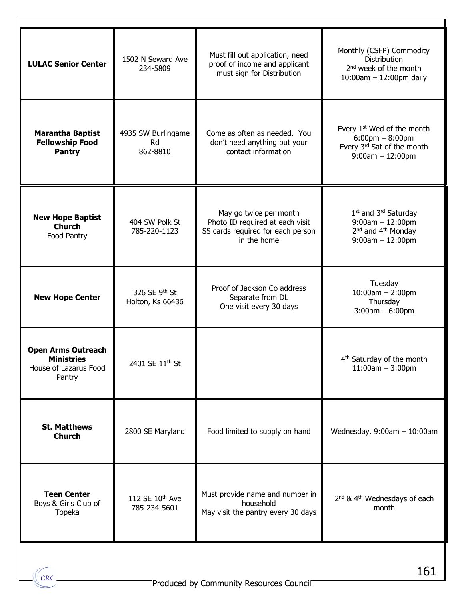| <b>LULAC Senior Center</b>                                                        | 1502 N Seward Ave<br>234-5809        | Must fill out application, need<br>proof of income and applicant<br>must sign for Distribution                | Monthly (CSFP) Commodity<br><b>Distribution</b><br>2 <sup>nd</sup> week of the month<br>$10:00$ am $- 12:00$ pm daily           |  |
|-----------------------------------------------------------------------------------|--------------------------------------|---------------------------------------------------------------------------------------------------------------|---------------------------------------------------------------------------------------------------------------------------------|--|
| <b>Marantha Baptist</b><br><b>Fellowship Food</b><br><b>Pantry</b>                | 4935 SW Burlingame<br>Rd<br>862-8810 | Come as often as needed. You<br>don't need anything but your<br>contact information                           | Every 1 <sup>st</sup> Wed of the month<br>$6:00 \text{pm} - 8:00 \text{pm}$<br>Every 3rd Sat of the month<br>$9:00am - 12:00pm$ |  |
| <b>New Hope Baptist</b><br><b>Church</b><br>Food Pantry                           | 404 SW Polk St<br>785-220-1123       | May go twice per month<br>Photo ID required at each visit<br>SS cards required for each person<br>in the home | 1st and 3rd Saturday<br>$9:00$ am $-12:00$ pm<br>2 <sup>nd</sup> and 4 <sup>th</sup> Monday<br>$9:00$ am $-12:00$ pm            |  |
| <b>New Hope Center</b>                                                            | 326 SE 9th St<br>Holton, Ks 66436    | Proof of Jackson Co address<br>Separate from DL<br>One visit every 30 days                                    | Tuesday<br>$10:00am - 2:00pm$<br>Thursday<br>$3:00$ pm $-6:00$ pm                                                               |  |
| <b>Open Arms Outreach</b><br><b>Ministries</b><br>House of Lazarus Food<br>Pantry | 2401 SE 11 <sup>th</sup> St          |                                                                                                               | 4 <sup>th</sup> Saturday of the month<br>$11:00am - 3:00pm$                                                                     |  |
| <b>St. Matthews</b><br><b>Church</b>                                              | 2800 SE Maryland                     | Food limited to supply on hand                                                                                | Wednesday, $9:00$ am $-10:00$ am                                                                                                |  |
| <b>Teen Center</b><br>Boys & Girls Club of<br>Topeka                              | 112 SE 10th Ave<br>785-234-5601      | Must provide name and number in<br>household<br>May visit the pantry every 30 days                            | 2 <sup>nd</sup> & 4 <sup>th</sup> Wednesdays of each<br>month                                                                   |  |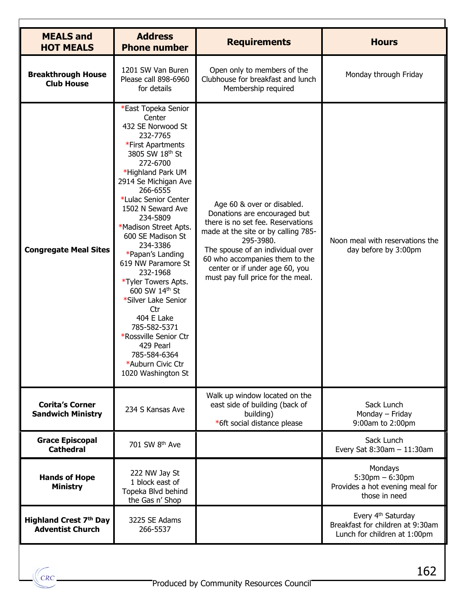| <b>MEALS and</b><br><b>HOT MEALS</b>                     | <b>Address</b><br><b>Phone number</b>                                                                                                                                                                                                                                                                                                                                                                                                                                                                                                                      | <b>Requirements</b>                                                                                                                                                                                                                                                                              | <b>Hours</b>                                                                                       |
|----------------------------------------------------------|------------------------------------------------------------------------------------------------------------------------------------------------------------------------------------------------------------------------------------------------------------------------------------------------------------------------------------------------------------------------------------------------------------------------------------------------------------------------------------------------------------------------------------------------------------|--------------------------------------------------------------------------------------------------------------------------------------------------------------------------------------------------------------------------------------------------------------------------------------------------|----------------------------------------------------------------------------------------------------|
| <b>Breakthrough House</b><br><b>Club House</b>           | 1201 SW Van Buren<br>Please call 898-6960<br>for details                                                                                                                                                                                                                                                                                                                                                                                                                                                                                                   | Open only to members of the<br>Clubhouse for breakfast and lunch<br>Membership required                                                                                                                                                                                                          | Monday through Friday                                                                              |
| <b>Congregate Meal Sites</b>                             | *East Topeka Senior<br>Center<br>432 SE Norwood St<br>232-7765<br>*First Apartments<br>3805 SW 18th St<br>272-6700<br>*Highland Park UM<br>2914 Se Michigan Ave<br>266-6555<br>*Lulac Senior Center<br>1502 N Seward Ave<br>234-5809<br>*Madison Street Apts.<br>600 SE Madison St<br>234-3386<br>*Papan's Landing<br>619 NW Paramore St<br>232-1968<br>*Tyler Towers Apts.<br>600 SW 14th St<br>*Silver Lake Senior<br>Ctr<br>404 E Lake<br>785-582-5371<br>*Rossville Senior Ctr<br>429 Pearl<br>785-584-6364<br>*Auburn Civic Ctr<br>1020 Washington St | Age 60 & over or disabled.<br>Donations are encouraged but<br>there is no set fee. Reservations<br>made at the site or by calling 785-<br>295-3980.<br>The spouse of an individual over<br>60 who accompanies them to the<br>center or if under age 60, you<br>must pay full price for the meal. | Noon meal with reservations the<br>day before by 3:00pm                                            |
| <b>Corita's Corner</b><br><b>Sandwich Ministry</b>       | 234 S Kansas Ave                                                                                                                                                                                                                                                                                                                                                                                                                                                                                                                                           | Walk up window located on the<br>east side of building (back of<br>building)<br>*6ft social distance please                                                                                                                                                                                      | Sack Lunch<br>Monday - Friday<br>9:00am to 2:00pm                                                  |
| <b>Grace Episcopal</b><br><b>Cathedral</b>               | 701 SW 8th Ave                                                                                                                                                                                                                                                                                                                                                                                                                                                                                                                                             |                                                                                                                                                                                                                                                                                                  | Sack Lunch<br>Every Sat $8:30$ am $-11:30$ am                                                      |
| <b>Hands of Hope</b><br><b>Ministry</b>                  | 222 NW Jay St<br>1 block east of<br>Topeka Blvd behind<br>the Gas n' Shop                                                                                                                                                                                                                                                                                                                                                                                                                                                                                  |                                                                                                                                                                                                                                                                                                  | Mondays<br>$5:30$ pm $-6:30$ pm<br>Provides a hot evening meal for<br>those in need                |
| <b>Highland Crest 7th Day</b><br><b>Adventist Church</b> | 3225 SE Adams<br>266-5537                                                                                                                                                                                                                                                                                                                                                                                                                                                                                                                                  |                                                                                                                                                                                                                                                                                                  | Every 4 <sup>th</sup> Saturday<br>Breakfast for children at 9:30am<br>Lunch for children at 1:00pm |

Г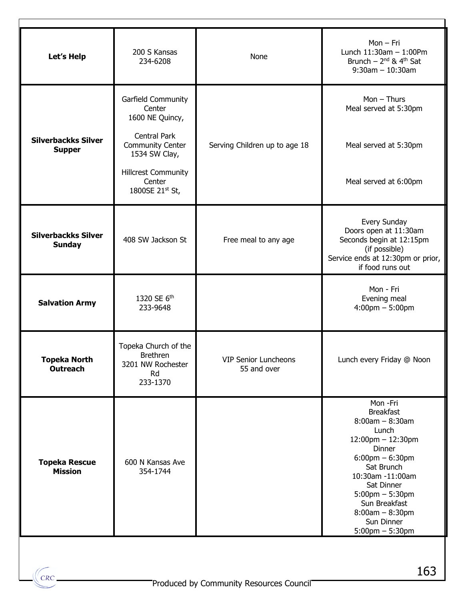| Let's Help                                  | 200 S Kansas<br>234-6208                                                       | None                                | $Mon - Fri$<br>Lunch $11:30$ am $-1:00$ Pm<br>Brunch $-2^{nd}$ & 4 <sup>th</sup> Sat<br>$9:30$ am $-10:30$ am                                                                                                                                                         |
|---------------------------------------------|--------------------------------------------------------------------------------|-------------------------------------|-----------------------------------------------------------------------------------------------------------------------------------------------------------------------------------------------------------------------------------------------------------------------|
|                                             | Garfield Community<br>Center<br>1600 NE Quincy,                                |                                     | $Mon - Thus$<br>Meal served at 5:30pm                                                                                                                                                                                                                                 |
| <b>Silverbackks Silver</b><br><b>Supper</b> | <b>Central Park</b><br><b>Community Center</b><br>1534 SW Clay,                | Serving Children up to age 18       | Meal served at 5:30pm                                                                                                                                                                                                                                                 |
|                                             | <b>Hillcrest Community</b><br>Center<br>1800SE 21st St,                        |                                     | Meal served at 6:00pm                                                                                                                                                                                                                                                 |
| <b>Silverbackks Silver</b><br><b>Sunday</b> | 408 SW Jackson St                                                              | Free meal to any age                | Every Sunday<br>Doors open at 11:30am<br>Seconds begin at 12:15pm<br>(if possible)<br>Service ends at 12:30pm or prior,<br>if food runs out                                                                                                                           |
| <b>Salvation Army</b>                       | 1320 SE 6th<br>233-9648                                                        |                                     | Mon - Fri<br>Evening meal<br>$4:00 \text{pm} - 5:00 \text{pm}$                                                                                                                                                                                                        |
| Topeka North<br><b>Outreach</b>             | Topeka Church of the<br><b>Brethren</b><br>3201 NW Rochester<br>Rd<br>233-1370 | VIP Senior Luncheons<br>55 and over | Lunch every Friday @ Noon                                                                                                                                                                                                                                             |
| <b>Topeka Rescue</b><br><b>Mission</b>      | 600 N Kansas Ave<br>354-1744                                                   |                                     | Mon -Fri<br><b>Breakfast</b><br>$8:00am - 8:30am$<br>Lunch<br>12:00pm - 12:30pm<br>Dinner<br>$6:00$ pm $-6:30$ pm<br>Sat Brunch<br>10:30am -11:00am<br>Sat Dinner<br>$5:00$ pm $-5:30$ pm<br>Sun Breakfast<br>$8:00am - 8:30pm$<br>Sun Dinner<br>$5:00$ pm $-5:30$ pm |

CRC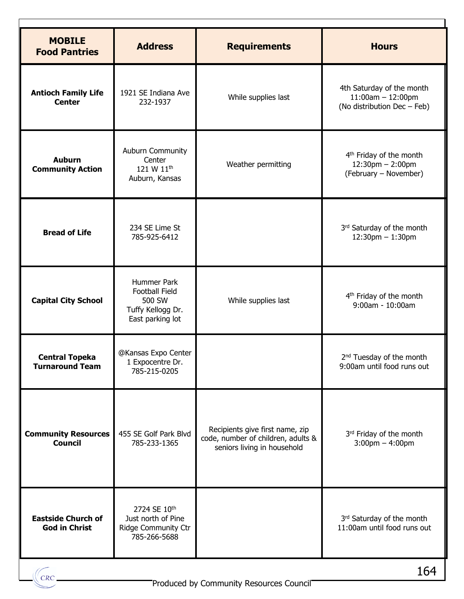| <b>MOBILE</b><br><b>Food Pantries</b>             | <b>Address</b>                                                                          | <b>Requirements</b>                                                                                  | <b>Hours</b>                                                                           |
|---------------------------------------------------|-----------------------------------------------------------------------------------------|------------------------------------------------------------------------------------------------------|----------------------------------------------------------------------------------------|
| <b>Antioch Family Life</b><br><b>Center</b>       | 1921 SE Indiana Ave<br>232-1937                                                         | While supplies last                                                                                  | 4th Saturday of the month<br>$11:00$ am $- 12:00$ pm<br>(No distribution Dec - Feb)    |
| <b>Auburn</b><br><b>Community Action</b>          | Auburn Community<br>Center<br>121 W 11 <sup>th</sup><br>Auburn, Kansas                  | Weather permitting                                                                                   | 4 <sup>th</sup> Friday of the month<br>$12:30$ pm $- 2:00$ pm<br>(February - November) |
| <b>Bread of Life</b>                              | 234 SE Lime St<br>785-925-6412                                                          |                                                                                                      | 3rd Saturday of the month<br>$12:30$ pm $- 1:30$ pm                                    |
| <b>Capital City School</b>                        | Hummer Park<br><b>Football Field</b><br>500 SW<br>Tuffy Kellogg Dr.<br>East parking lot | While supplies last                                                                                  | 4 <sup>th</sup> Friday of the month<br>9:00am - 10:00am                                |
| <b>Central Topeka</b><br><b>Turnaround Team</b>   | @Kansas Expo Center<br>1 Expocentre Dr.<br>785-215-0205                                 |                                                                                                      | 2 <sup>nd</sup> Tuesday of the month<br>9:00am until food runs out                     |
| <b>Community Resources</b><br><b>Council</b>      | 455 SE Golf Park Blvd<br>785-233-1365                                                   | Recipients give first name, zip<br>code, number of children, adults &<br>seniors living in household | 3rd Friday of the month<br>$3:00$ pm $-4:00$ pm                                        |
| <b>Eastside Church of</b><br><b>God in Christ</b> | 2724 SE 10th<br>Just north of Pine<br>Ridge Community Ctr<br>785-266-5688               |                                                                                                      | 3rd Saturday of the month<br>11:00am until food runs out                               |
|                                                   |                                                                                         | Produced by Community Resources Council                                                              | 164                                                                                    |
|                                                   |                                                                                         |                                                                                                      |                                                                                        |

Г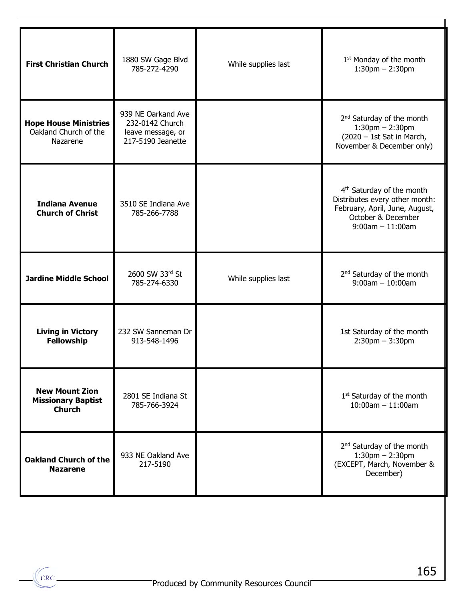| <b>First Christian Church</b>                                       | 1880 SW Gage Blvd<br>785-272-4290                                               | While supplies last | 1 <sup>st</sup> Monday of the month<br>$1:30$ pm $- 2:30$ pm                                                                                             |
|---------------------------------------------------------------------|---------------------------------------------------------------------------------|---------------------|----------------------------------------------------------------------------------------------------------------------------------------------------------|
| <b>Hope House Ministries</b><br>Oakland Church of the<br>Nazarene   | 939 NE Oarkand Ave<br>232-0142 Church<br>leave message, or<br>217-5190 Jeanette |                     | 2 <sup>nd</sup> Saturday of the month<br>$1:30$ pm $- 2:30$ pm<br>$(2020 - 1st$ Sat in March,<br>November & December only)                               |
| <b>Indiana Avenue</b><br><b>Church of Christ</b>                    | 3510 SE Indiana Ave<br>785-266-7788                                             |                     | 4 <sup>th</sup> Saturday of the month<br>Distributes every other month:<br>February, April, June, August,<br>October & December<br>$9:00$ am $-11:00$ am |
| <b>Jardine Middle School</b>                                        | 2600 SW 33rd St<br>785-274-6330                                                 | While supplies last | 2 <sup>nd</sup> Saturday of the month<br>$9:00$ am $-10:00$ am                                                                                           |
| <b>Living in Victory</b><br>Fellowship                              | 232 SW Sanneman Dr<br>913-548-1496                                              |                     | 1st Saturday of the month<br>$2:30$ pm $-3:30$ pm                                                                                                        |
| <b>New Mount Zion</b><br><b>Missionary Baptist</b><br><b>Church</b> | 2801 SE Indiana St<br>785-766-3924                                              |                     | 1 <sup>st</sup> Saturday of the month<br>$10:00$ am $- 11:00$ am                                                                                         |
| <b>Oakland Church of the</b><br><b>Nazarene</b>                     | 933 NE Oakland Ave<br>217-5190                                                  |                     | 2 <sup>nd</sup> Saturday of the month<br>$1:30$ pm $- 2:30$ pm<br>(EXCEPT, March, November &<br>December)                                                |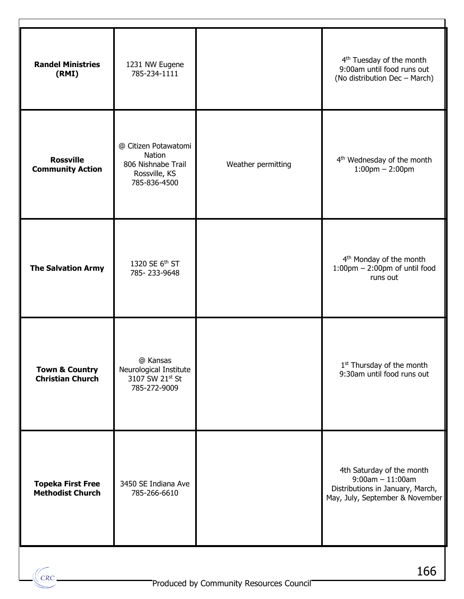| <b>Randel Ministries</b><br>(RMI)                    | 1231 NW Eugene<br>785-234-1111                                                        |                    | 4 <sup>th</sup> Tuesday of the month<br>9:00am until food runs out<br>(No distribution Dec - March)                    |
|------------------------------------------------------|---------------------------------------------------------------------------------------|--------------------|------------------------------------------------------------------------------------------------------------------------|
| <b>Rossville</b><br><b>Community Action</b>          | @ Citizen Potawatomi<br>Nation<br>806 Nishnabe Trail<br>Rossville, KS<br>785-836-4500 | Weather permitting | 4 <sup>th</sup> Wednesday of the month<br>$1:00$ pm $- 2:00$ pm                                                        |
| <b>The Salvation Army</b>                            | 1320 SE 6th ST<br>785-233-9648                                                        |                    | 4 <sup>th</sup> Monday of the month<br>$1:00$ pm $- 2:00$ pm of until food<br>runs out                                 |
| <b>Town &amp; Country</b><br><b>Christian Church</b> | @ Kansas<br>Neurological Institute<br>3107 SW 21st St<br>785-272-9009                 |                    | 1 <sup>st</sup> Thursday of the month<br>9:30am until food runs out                                                    |
| <b>Topeka First Free</b><br><b>Methodist Church</b>  | 3450 SE Indiana Ave<br>785-266-6610                                                   |                    | 4th Saturday of the month<br>$9:00am - 11:00am$<br>Distributions in January, March,<br>May, July, September & November |

CRC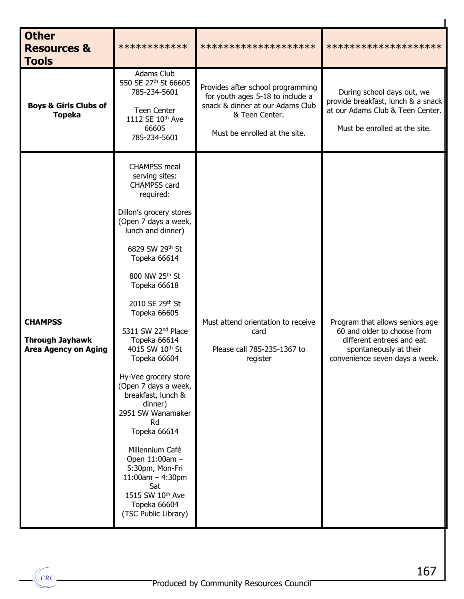| <b>Other</b><br><b>Resources &amp;</b><br><b>Tools</b>                  | ************                                                                                                                                                                                                                                                                                                                                                                                                                                                                                                                                                                                                                | ********************                                                                                                                                         | ********************                                                                                                                                    |
|-------------------------------------------------------------------------|-----------------------------------------------------------------------------------------------------------------------------------------------------------------------------------------------------------------------------------------------------------------------------------------------------------------------------------------------------------------------------------------------------------------------------------------------------------------------------------------------------------------------------------------------------------------------------------------------------------------------------|--------------------------------------------------------------------------------------------------------------------------------------------------------------|---------------------------------------------------------------------------------------------------------------------------------------------------------|
| <b>Boys &amp; Girls Clubs of</b><br><b>Topeka</b>                       | Adams Club<br>550 SE 27th St 66605<br>785-234-5601<br>Teen Center<br>1112 SE 10th Ave<br>66605<br>785-234-5601                                                                                                                                                                                                                                                                                                                                                                                                                                                                                                              | Provides after school programming<br>for youth ages 5-18 to include a<br>snack & dinner at our Adams Club<br>& Teen Center.<br>Must be enrolled at the site. | During school days out, we<br>provide breakfast, lunch & a snack<br>at our Adams Club & Teen Center.<br>Must be enrolled at the site.                   |
| <b>CHAMPSS</b><br><b>Through Jayhawk</b><br><b>Area Agency on Aging</b> | <b>CHAMPSS meal</b><br>serving sites:<br><b>CHAMPSS card</b><br>required:<br>Dillon's grocery stores<br>(Open 7 days a week,<br>lunch and dinner)<br>6829 SW 29th St<br>Topeka 66614<br>800 NW 25th St<br>Topeka 66618<br>2010 SE 29th St<br>Topeka 66605<br>5311 SW 22 <sup>nd</sup> Place<br>Topeka 66614<br>4015 SW 10th St<br>Topeka 66604<br>Hy-Vee grocery store<br>(Open 7 days a week,<br>breakfast, lunch &<br>dinner)<br>2951 SW Wanamaker<br>Rd<br>Topeka 66614<br>Millennium Café<br>Open 11:00am -<br>5:30pm, Mon-Fri<br>$11:00am - 4:30pm$<br>Sat<br>1515 SW 10th Ave<br>Topeka 66604<br>(TSC Public Library) | Must attend orientation to receive<br>card<br>Please call 785-235-1367 to<br>register                                                                        | Program that allows seniors age<br>60 and older to choose from<br>different entrees and eat<br>spontaneously at their<br>convenience seven days a week. |

 $\Gamma$